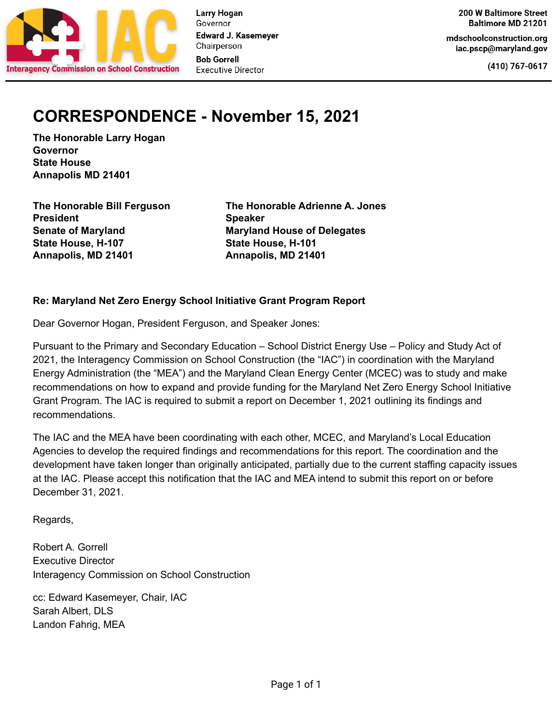

mdschoolconstruction.org iac.pscp@maryland.gov

(410) 767-0617

## **CORRESPONDENCE - November 15, 2021**

**The Honorable Larry Hogan Governor State House Annapolis MD 21401**

**The Honorable Bill Ferguson President Senate of Maryland State House, H-107 Annapolis, MD 21401**

**The Honorable Adrienne A. Jones Speaker Maryland House of Delegates State House, H-101 Annapolis, MD 21401**

#### **Re: Maryland Net Zero Energy School Initiative Grant Program Report**

Dear Governor Hogan, President Ferguson, and Speaker Jones:

Pursuant to the Primary and Secondary Education – School District Energy Use – Policy and Study Act of 2021, the Interagency Commission on School Construction (the "IAC") in coordination with the Maryland Energy Administration (the "MEA") and the Maryland Clean Energy Center (MCEC) was to study and make recommendations on how to expand and provide funding for the Maryland Net Zero Energy School Initiative Grant Program. The IAC is required to submit a report on December 1, 2021 outlining its findings and recommendations.

The IAC and the MEA have been coordinating with each other, MCEC, and Maryland's Local Education Agencies to develop the required findings and recommendations for this report. The coordination and the development have taken longer than originally anticipated, partially due to the current staffing capacity issues at the IAC. Please accept this notification that the IAC and MEA intend to submit this report on or before December 31, 2021.

Regards,

Robert A. Gorrell Executive Director Interagency Commission on School Construction

cc: Edward Kasemeyer, Chair, IAC Sarah Albert, DLS Landon Fahrig, MEA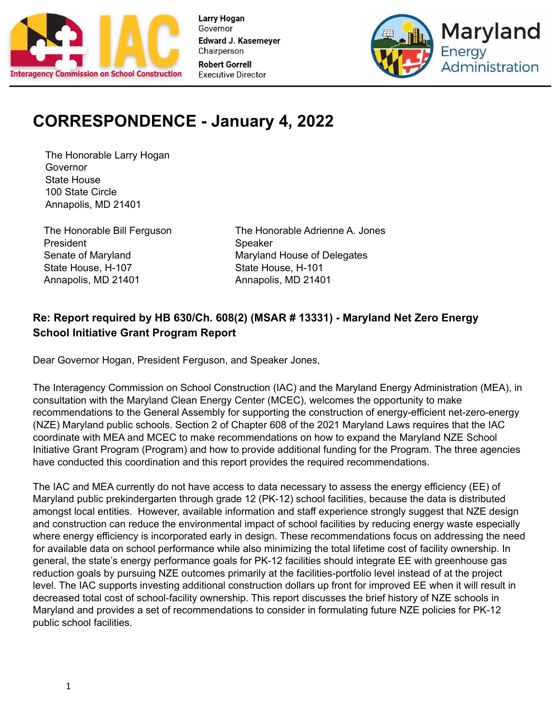



# **CORRESPONDENCE - January 4, 2022**

The Honorable Larry Hogan Governor State House 100 State Circle Annapolis, MD 21401

The Honorable Bill Ferguson President Senate of Maryland State House, H-107 Annapolis, MD 21401

The Honorable Adrienne A. Jones **Speaker** Maryland House of Delegates State House, H-101 Annapolis, MD 21401

### **Re: Report required by HB 630/Ch. 608(2) (MSAR # 13331) - Maryland Net Zero Energy School Initiative Grant Program Report**

Dear Governor Hogan, President Ferguson, and Speaker Jones,

The Interagency Commission on School Construction (IAC) and the Maryland Energy Administration (MEA), in consultation with the Maryland Clean Energy Center (MCEC), welcomes the opportunity to make recommendations to the General Assembly for supporting the construction of energy-efficient net-zero-energy (NZE) Maryland public schools. Section 2 of Chapter 608 of the 2021 Maryland Laws requires that the IAC coordinate with MEA and MCEC to make recommendations on how to expand the Maryland NZE School Initiative Grant Program (Program) and how to provide additional funding for the Program. The three agencies have conducted this coordination and this report provides the required recommendations.

The IAC and MEA currently do not have access to data necessary to assess the energy efficiency (EE) of Maryland public prekindergarten through grade 12 (PK-12) school facilities, because the data is distributed amongst local entities. However, available information and staff experience strongly suggest that NZE design and construction can reduce the environmental impact of school facilities by reducing energy waste especially where energy efficiency is incorporated early in design. These recommendations focus on addressing the need for available data on school performance while also minimizing the total lifetime cost of facility ownership. In general, the state's energy performance goals for PK-12 facilities should integrate EE with greenhouse gas reduction goals by pursuing NZE outcomes primarily at the facilities-portfolio level instead of at the project level. The IAC supports investing additional construction dollars up front for improved EE when it will result in decreased total cost of school-facility ownership. This report discusses the brief history of NZE schools in Maryland and provides a set of recommendations to consider in formulating future NZE policies for PK-12 public school facilities.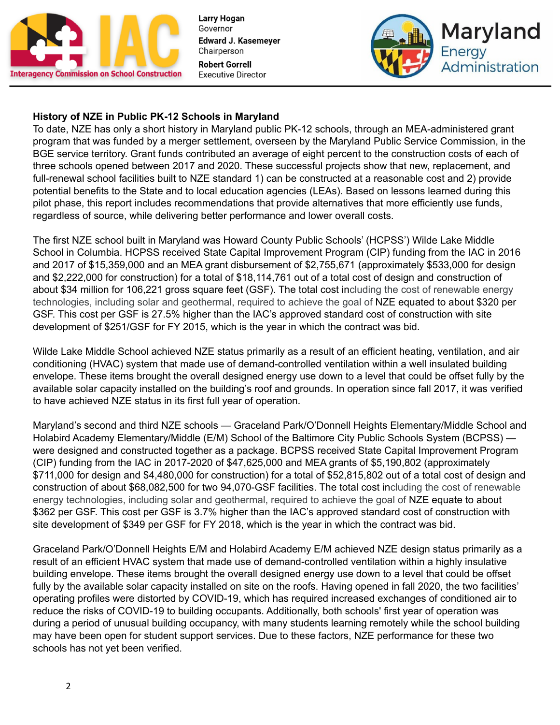



#### **History of NZE in Public PK-12 Schools in Maryland**

To date, NZE has only a short history in Maryland public PK-12 schools, through an MEA-administered grant program that was funded by a merger settlement, overseen by the Maryland Public Service Commission, in the BGE service territory. Grant funds contributed an average of eight percent to the construction costs of each of three schools opened between 2017 and 2020. These successful projects show that new, replacement, and full-renewal school facilities built to NZE standard 1) can be constructed at a reasonable cost and 2) provide potential benefits to the State and to local education agencies (LEAs). Based on lessons learned during this pilot phase, this report includes recommendations that provide alternatives that more efficiently use funds, regardless of source, while delivering better performance and lower overall costs.

The first NZE school built in Maryland was Howard County Public Schools' (HCPSS') Wilde Lake Middle School in Columbia. HCPSS received State Capital Improvement Program (CIP) funding from the IAC in 2016 and 2017 of \$15,359,000 and an MEA grant disbursement of \$2,755,671 (approximately \$533,000 for design and \$2,222,000 for construction) for a total of \$18,114,761 out of a total cost of design and construction of about \$34 million for 106,221 gross square feet (GSF). The total cost including the cost of renewable energy technologies, including solar and geothermal, required to achieve the goal of NZE equated to about \$320 per GSF. This cost per GSF is 27.5% higher than the IAC's approved standard cost of construction with site development of \$251/GSF for FY 2015, which is the year in which the contract was bid.

Wilde Lake Middle School achieved NZE status primarily as a result of an efficient heating, ventilation, and air conditioning (HVAC) system that made use of demand-controlled ventilation within a well insulated building envelope. These items brought the overall designed energy use down to a level that could be offset fully by the available solar capacity installed on the building's roof and grounds. In operation since fall 2017, it was verified to have achieved NZE status in its first full year of operation.

Maryland's second and third NZE schools — Graceland Park/O'Donnell Heights Elementary/Middle School and Holabird Academy Elementary/Middle (E/M) School of the Baltimore City Public Schools System (BCPSS) were designed and constructed together as a package. BCPSS received State Capital Improvement Program (CIP) funding from the IAC in 2017-2020 of \$47,625,000 and MEA grants of \$5,190,802 (approximately \$711,000 for design and \$4,480,000 for construction) for a total of \$52,815,802 out of a total cost of design and construction of about \$68,082,500 for two 94,070-GSF facilities. The total cost including the cost of renewable energy technologies, including solar and geothermal, required to achieve the goal of NZE equate to about \$362 per GSF. This cost per GSF is 3.7% higher than the IAC's approved standard cost of construction with site development of \$349 per GSF for FY 2018, which is the year in which the contract was bid.

Graceland Park/O'Donnell Heights E/M and Holabird Academy E/M achieved NZE design status primarily as a result of an efficient HVAC system that made use of demand-controlled ventilation within a highly insulative building envelope. These items brought the overall designed energy use down to a level that could be offset fully by the available solar capacity installed on site on the roofs. Having opened in fall 2020, the two facilities' operating profiles were distorted by COVID-19, which has required increased exchanges of conditioned air to reduce the risks of COVID-19 to building occupants. Additionally, both schools' first year of operation was during a period of unusual building occupancy, with many students learning remotely while the school building may have been open for student support services. Due to these factors, NZE performance for these two schools has not yet been verified.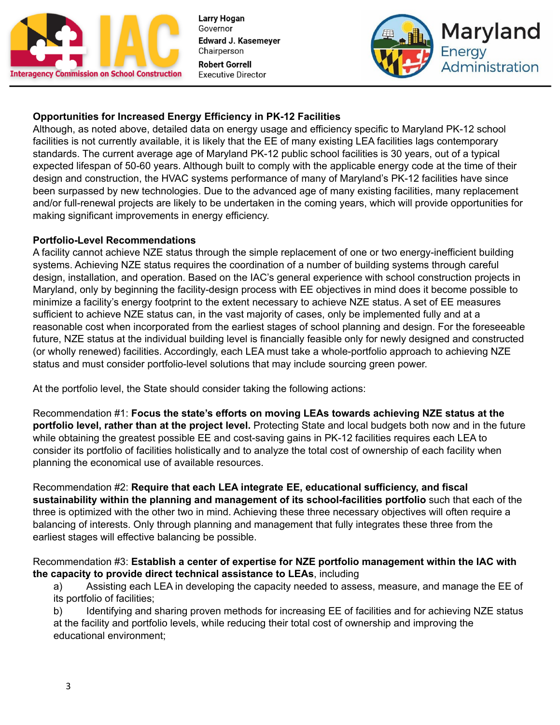



#### **Opportunities for Increased Energy Efficiency in PK-12 Facilities**

Although, as noted above, detailed data on energy usage and efficiency specific to Maryland PK-12 school facilities is not currently available, it is likely that the EE of many existing LEA facilities lags contemporary standards. The current average age of Maryland PK-12 public school facilities is 30 years, out of a typical expected lifespan of 50-60 years. Although built to comply with the applicable energy code at the time of their design and construction, the HVAC systems performance of many of Maryland's PK-12 facilities have since been surpassed by new technologies. Due to the advanced age of many existing facilities, many replacement and/or full-renewal projects are likely to be undertaken in the coming years, which will provide opportunities for making significant improvements in energy efficiency.

#### **Portfolio-Level Recommendations**

A facility cannot achieve NZE status through the simple replacement of one or two energy-inefficient building systems. Achieving NZE status requires the coordination of a number of building systems through careful design, installation, and operation. Based on the IAC's general experience with school construction projects in Maryland, only by beginning the facility-design process with EE objectives in mind does it become possible to minimize a facility's energy footprint to the extent necessary to achieve NZE status. A set of EE measures sufficient to achieve NZE status can, in the vast majority of cases, only be implemented fully and at a reasonable cost when incorporated from the earliest stages of school planning and design. For the foreseeable future, NZE status at the individual building level is financially feasible only for newly designed and constructed (or wholly renewed) facilities. Accordingly, each LEA must take a whole-portfolio approach to achieving NZE status and must consider portfolio-level solutions that may include sourcing green power.

At the portfolio level, the State should consider taking the following actions:

Recommendation #1: **Focus the state's efforts on moving LEAs towards achieving NZE status at the portfolio level, rather than at the project level.** Protecting State and local budgets both now and in the future while obtaining the greatest possible EE and cost-saving gains in PK-12 facilities requires each LEA to consider its portfolio of facilities holistically and to analyze the total cost of ownership of each facility when planning the economical use of available resources.

Recommendation #2: **Require that each LEA integrate EE, educational sufficiency, and fiscal sustainability within the planning and management of its school-facilities portfolio** such that each of the three is optimized with the other two in mind. Achieving these three necessary objectives will often require a balancing of interests. Only through planning and management that fully integrates these three from the earliest stages will effective balancing be possible.

Recommendation #3: **Establish a center of expertise for NZE portfolio management within the IAC with the capacity to provide direct technical assistance to LEAs**, including

a) Assisting each LEA in developing the capacity needed to assess, measure, and manage the EE of its portfolio of facilities;

b) Identifying and sharing proven methods for increasing EE of facilities and for achieving NZE status at the facility and portfolio levels, while reducing their total cost of ownership and improving the educational environment;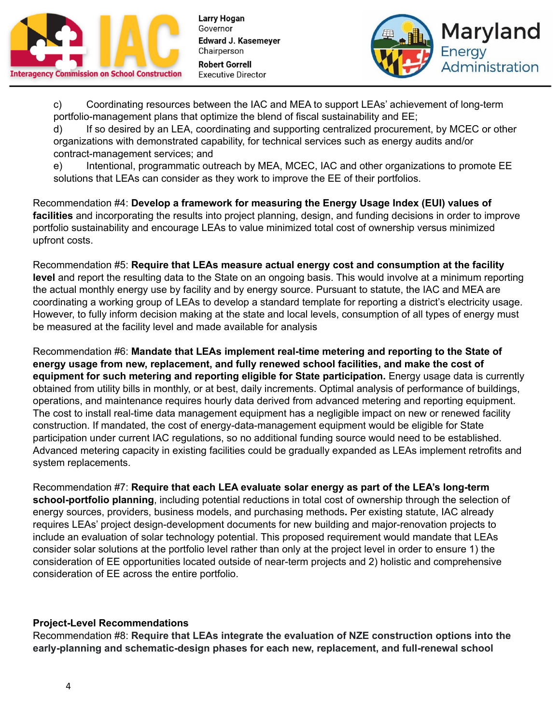



c) Coordinating resources between the IAC and MEA to support LEAs' achievement of long-term portfolio-management plans that optimize the blend of fiscal sustainability and EE;

d) If so desired by an LEA, coordinating and supporting centralized procurement, by MCEC or other organizations with demonstrated capability, for technical services such as energy audits and/or contract-management services; and

e) Intentional, programmatic outreach by MEA, MCEC, IAC and other organizations to promote EE solutions that LEAs can consider as they work to improve the EE of their portfolios.

Recommendation #4: **Develop a framework for measuring the Energy Usage Index (EUI) values of facilities** and incorporating the results into project planning, design, and funding decisions in order to improve portfolio sustainability and encourage LEAs to value minimized total cost of ownership versus minimized upfront costs.

Recommendation #5: **Require that LEAs measure actual energy cost and consumption at the facility level** and report the resulting data to the State on an ongoing basis. This would involve at a minimum reporting the actual monthly energy use by facility and by energy source. Pursuant to statute, the IAC and MEA are coordinating a working group of LEAs to develop a standard template for reporting a district's electricity usage. However, to fully inform decision making at the state and local levels, consumption of all types of energy must be measured at the facility level and made available for analysis

Recommendation #6: **Mandate that LEAs implement real-time metering and reporting to the State of energy usage from new, replacement, and fully renewed school facilities, and make the cost of equipment for such metering and reporting eligible for State participation.** Energy usage data is currently obtained from utility bills in monthly, or at best, daily increments. Optimal analysis of performance of buildings, operations, and maintenance requires hourly data derived from advanced metering and reporting equipment. The cost to install real-time data management equipment has a negligible impact on new or renewed facility construction. If mandated, the cost of energy-data-management equipment would be eligible for State participation under current IAC regulations, so no additional funding source would need to be established. Advanced metering capacity in existing facilities could be gradually expanded as LEAs implement retrofits and system replacements.

Recommendation #7: **Require that each LEA evaluate solar energy as part of the LEA's long-term school-portfolio planning**, including potential reductions in total cost of ownership through the selection of energy sources, providers, business models, and purchasing methods**.** Per existing statute, IAC already requires LEAs' project design-development documents for new building and major-renovation projects to include an evaluation of solar technology potential. This proposed requirement would mandate that LEAs consider solar solutions at the portfolio level rather than only at the project level in order to ensure 1) the consideration of EE opportunities located outside of near-term projects and 2) holistic and comprehensive consideration of EE across the entire portfolio.

#### **Project-Level Recommendations**

Recommendation #8: **Require that LEAs integrate the evaluation of NZE construction options into the early-planning and schematic-design phases for each new, replacement, and full-renewal school**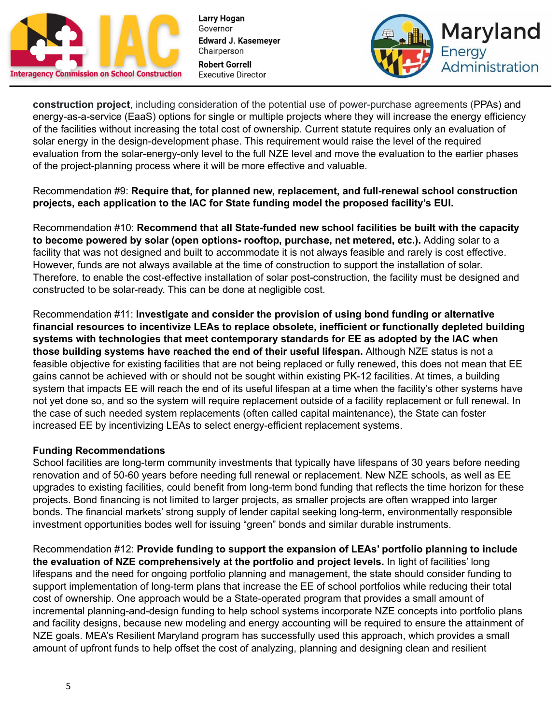



**construction project**, including consideration of the potential use of power-purchase agreements (PPAs) and energy-as-a-service (EaaS) options for single or multiple projects where they will increase the energy efficiency of the facilities without increasing the total cost of ownership. Current statute requires only an evaluation of solar energy in the design-development phase. This requirement would raise the level of the required evaluation from the solar-energy-only level to the full NZE level and move the evaluation to the earlier phases of the project-planning process where it will be more effective and valuable.

#### Recommendation #9: **Require that, for planned new, replacement, and full-renewal school construction projects, each application to the IAC for State funding model the proposed facility's EUI.**

Recommendation #10: **Recommend that all State-funded new school facilities be built with the capacity to become powered by solar (open options- rooftop, purchase, net metered, etc.).** Adding solar to a facility that was not designed and built to accommodate it is not always feasible and rarely is cost effective. However, funds are not always available at the time of construction to support the installation of solar. Therefore, to enable the cost-effective installation of solar post-construction, the facility must be designed and constructed to be solar-ready. This can be done at negligible cost.

Recommendation #11: **Investigate and consider the provision of using bond funding or alternative financial resources to incentivize LEAs to replace obsolete, inefficient or functionally depleted building systems with technologies that meet contemporary standards for EE as adopted by the IAC when those building systems have reached the end of their useful lifespan.** Although NZE status is not a feasible objective for existing facilities that are not being replaced or fully renewed, this does not mean that EE gains cannot be achieved with or should not be sought within existing PK-12 facilities. At times, a building system that impacts EE will reach the end of its useful lifespan at a time when the facility's other systems have not yet done so, and so the system will require replacement outside of a facility replacement or full renewal. In the case of such needed system replacements (often called capital maintenance), the State can foster increased EE by incentivizing LEAs to select energy-efficient replacement systems.

#### **Funding Recommendations**

School facilities are long-term community investments that typically have lifespans of 30 years before needing renovation and of 50-60 years before needing full renewal or replacement. New NZE schools, as well as EE upgrades to existing facilities, could benefit from long-term bond funding that reflects the time horizon for these projects. Bond financing is not limited to larger projects, as smaller projects are often wrapped into larger bonds. The financial markets' strong supply of lender capital seeking long-term, environmentally responsible investment opportunities bodes well for issuing "green" bonds and similar durable instruments.

Recommendation #12: **Provide funding to support the expansion of LEAs' portfolio planning to include the evaluation of NZE comprehensively at the portfolio and project levels.** In light of facilities' long lifespans and the need for ongoing portfolio planning and management, the state should consider funding to support implementation of long-term plans that increase the EE of school portfolios while reducing their total cost of ownership. One approach would be a State-operated program that provides a small amount of incremental planning-and-design funding to help school systems incorporate NZE concepts into portfolio plans and facility designs, because new modeling and energy accounting will be required to ensure the attainment of NZE goals. MEA's Resilient Maryland program has successfully used this approach, which provides a small amount of upfront funds to help offset the cost of analyzing, planning and designing clean and resilient